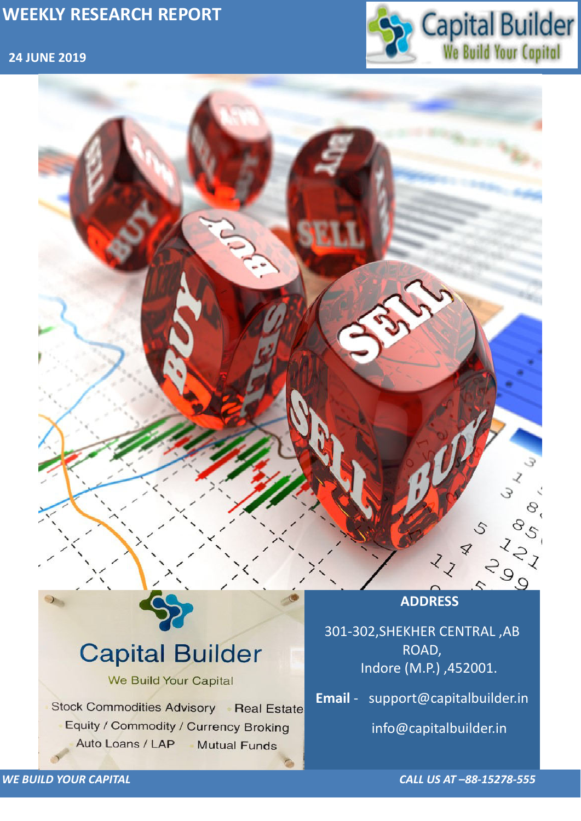### **24 JUNE 2019**



*WE BUILD YOUR CAPITAL CALL US AT –88-15278-555*

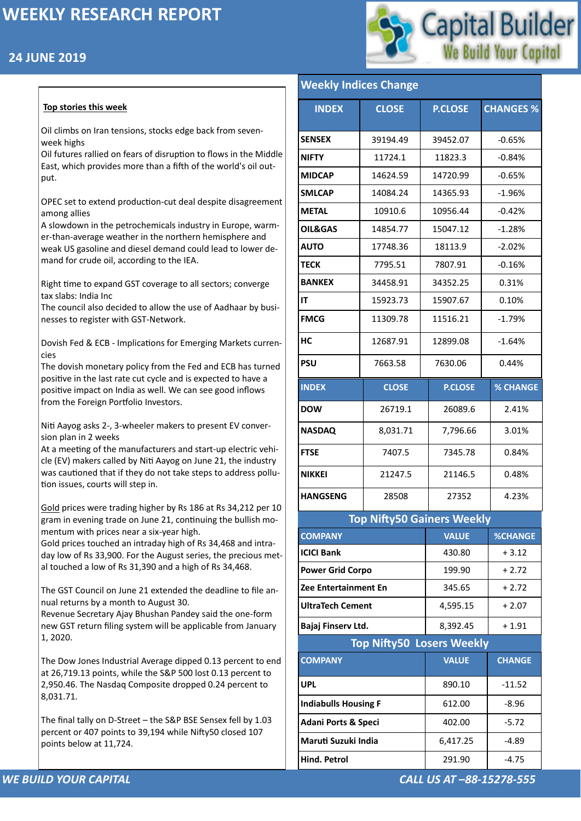## **24 JUNE 2019**



#### *WE BUILD YOUR CAPITAL CALL US AT –88-15278-555*

#### **Top stories this week**

Oil climbs on Iran tensions, stocks edge back from sevenweek highs

Oil futures rallied on fears of disruption to flows in the Middle East, which provides more than a fifth of the world's oil output.

OPEC set to extend production-cut deal despite disagreement among allies

A slowdown in the petrochemicals industry in Europe, warmer-than-average weather in the northern hemisphere and weak US gasoline and diesel demand could lead to lower demand for crude oil, according to the IEA.

Right time to expand GST coverage to all sectors; converge tax slabs: India Inc

The council also decided to allow the use of Aadhaar by businesses to register with GST-Network.

Dovish Fed & ECB - Implications for Emerging Markets currencies

The dovish monetary policy from the Fed and ECB has turned positive in the last rate cut cycle and is expected to have a positive impact on India as well. We can see good inflows from the Foreign Portfolio Investors.

Niti Aayog asks 2-, 3-wheeler makers to present EV conversion plan in 2 weeks

At a meeting of the manufacturers and start-up electric vehicle (EV) makers called by Niti Aayog on June 21, the industry was cautioned that if they do not take steps to address pollution issues, courts will step in.

[Gold](https://www.moneycontrol.com/commodity/gold-price.html#05aug2019) prices were trading higher by Rs 186 at Rs 34,212 per 10 gram in evening trade on June 21, continuing the bullish momentum with prices near a six-year high.

Gold prices touched an intraday high of Rs 34,468 and intraday low of Rs 33,900. For the August series, the precious metal touched a low of Rs 31,390 and a high of Rs 34,468.

The GST Council on June 21 extended the deadline to file annual returns by a month to August 30.

Revenue Secretary Ajay Bhushan Pandey said the one-form

new GST return filing system will be applicable from January 1, 2020.

The Dow Jones Industrial Average dipped 0.13 percent to end at 26,719.13 points, while the S&P 500 lost 0.13 percent to 2,950.46. The Nasdaq Composite dropped 0.24 percent to 8,031.71.

The final tally on D-Street – the S&P BSE Sensex fell by 1.03 percent or 407 points to 39,194 while Nifty50 closed 107 points below at 11,724.

| <b>INDEX</b>                      | <b>CLOSE</b> | <b>P.CLOSE</b> | <b>CHANGES %</b> |  |  |  |
|-----------------------------------|--------------|----------------|------------------|--|--|--|
| <b>SENSEX</b>                     | 39194.49     | 39452.07       | $-0.65%$         |  |  |  |
| <b>NIFTY</b>                      | 11724.1      | 11823.3        | $-0.84%$         |  |  |  |
| <b>MIDCAP</b>                     | 14624.59     | 14720.99       | $-0.65%$         |  |  |  |
| <b>SMLCAP</b>                     | 14084.24     | 14365.93       | $-1.96%$         |  |  |  |
| <b>METAL</b>                      | 10910.6      | 10956.44       | $-0.42%$         |  |  |  |
| <b>OIL&amp;GAS</b>                | 14854.77     | 15047.12       | $-1.28%$         |  |  |  |
| <b>AUTO</b>                       | 17748.36     | 18113.9        | $-2.02%$         |  |  |  |
| <b>TECK</b>                       | 7795.51      | 7807.91        | $-0.16%$         |  |  |  |
| <b>BANKEX</b>                     | 34458.91     | 34352.25       | 0.31%            |  |  |  |
| IT                                | 15923.73     | 15907.67       | 0.10%            |  |  |  |
| <b>FMCG</b>                       | 11309.78     | 11516.21       | $-1.79%$         |  |  |  |
| HC                                | 12687.91     | 12899.08       | $-1.64%$         |  |  |  |
| <b>PSU</b>                        | 7663.58      | 7630.06        | 0.44%            |  |  |  |
| <b>INDEX</b>                      | <b>CLOSE</b> | <b>P.CLOSE</b> | <b>% CHANGE</b>  |  |  |  |
| <b>DOW</b>                        | 26719.1      | 26089.6        | 2.41%            |  |  |  |
| <b>NASDAQ</b>                     | 8,031.71     | 7,796.66       | 3.01%            |  |  |  |
| <b>FTSE</b>                       | 7407.5       | 7345.78        | 0.84%            |  |  |  |
| <b>NIKKEI</b>                     | 21247.5      | 21146.5        | 0.48%            |  |  |  |
| <b>HANGSENG</b>                   | 28508        | 27352          | 4.23%            |  |  |  |
| <b>Top Nifty50 Gainers Weekly</b> |              |                |                  |  |  |  |
| <b>COMPANY</b>                    |              | <b>VALUE</b>   | <b>%CHANGE</b>   |  |  |  |
| <b>ICICI Bank</b>                 |              | 430.80         | $+3.12$          |  |  |  |
| <b>Power Grid Corpo</b>           |              | 199.90         | $+2.72$          |  |  |  |
| <b>Zee Entertainment En</b>       |              | 345.65         | $+2.72$          |  |  |  |
| <b>UltraTech Cement</b>           |              | 4,595.15       | $+2.07$          |  |  |  |

| Bajaj Finserv Ltd.               | 8,392.45<br>$+1.91$ |               |  |  |  |
|----------------------------------|---------------------|---------------|--|--|--|
| <b>Top Nifty50 Losers Weekly</b> |                     |               |  |  |  |
| <b>COMPANY</b>                   | <b>VALUE</b>        | <b>CHANGE</b> |  |  |  |
| <b>UPL</b>                       | 890.10              | $-11.52$      |  |  |  |
| <b>Indiabulls Housing F</b>      | 612.00              | $-8.96$       |  |  |  |
| <b>Adani Ports &amp; Speci</b>   | 402.00              | $-5.72$       |  |  |  |
| Maruti Suzuki India              | 6,417.25            | $-4.89$       |  |  |  |
| <b>Hind. Petrol</b>              | 291.90              | $-4.75$       |  |  |  |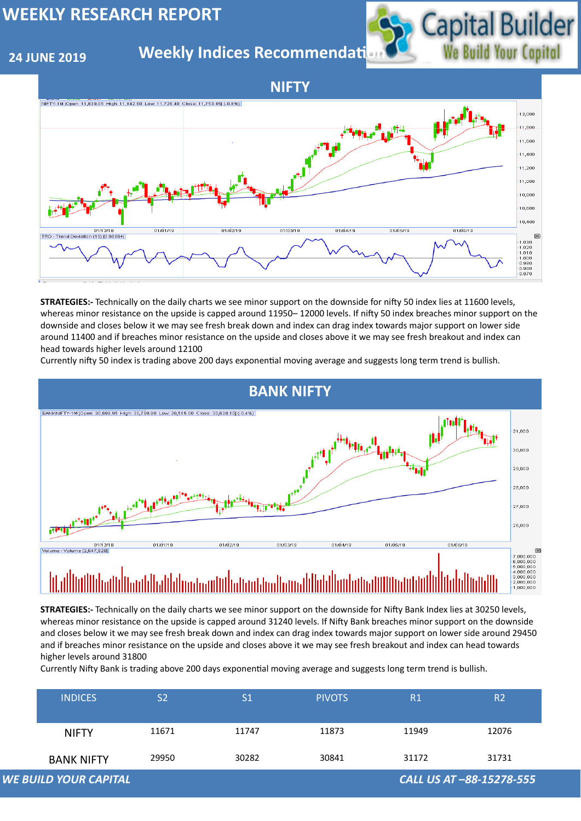#### **24 JUNE 2019**

## **Weekly Indices Recommendati**



|                                                          | <b>NIFTY</b>      | 11671 | 11747 | 11873 | 11949 | 12076 |
|----------------------------------------------------------|-------------------|-------|-------|-------|-------|-------|
|                                                          | <b>BANK NIFTY</b> | 29950 | 30282 | 30841 | 31172 | 31731 |
| <b>WE BUILD YOUR CAPITAL</b><br>CALL US AT -88-15278-555 |                   |       |       |       |       |       |





**STRATEGIES:-** Technically on the daily charts we see minor support on the downside for nifty 50 index lies at 11600 levels, whereas minor resistance on the upside is capped around 11950– 12000 levels. If nifty 50 index breaches minor support on the downside and closes below it we may see fresh break down and index can drag index towards major support on lower side around 11400 and if breaches minor resistance on the upside and closes above it we may see fresh breakout and index can head towards higher levels around 12100

Currently nifty 50 index is trading above 200 days exponential moving average and suggests long term trend is bullish.

**STRATEGIES:-** Technically on the daily charts we see minor support on the downside for Nifty Bank Index lies at 30250 levels, whereas minor resistance on the upside is capped around 31240 levels. If Nifty Bank breaches minor support on the downside and closes below it we may see fresh break down and index can drag index towards major support on lower side around 29450 and if breaches minor resistance on the upside and closes above it we may see fresh breakout and index can head towards higher levels around 31800

Currently Nifty Bank is trading above 200 days exponential moving average and suggests long term trend is bullish.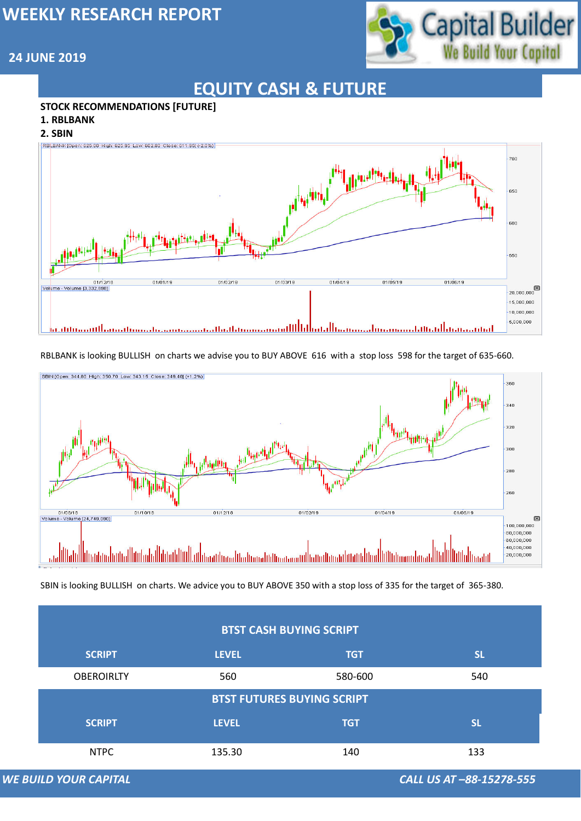

## **24 JUNE 2019**

# **EQUITY CASH & FUTURE**

#### **STOCK RECOMMENDATIONS [FUTURE]**

- **1. RBLBANK**
- **2. SBIN**



#### **BTST CASH BUYING SCRIPT**

#### RBLBANK is looking BULLISH on charts we advise you to BUY ABOVE 616 with a stop loss 598 for the target of 635-660.



| <b>SCRIPT</b>                     | <b>LEVEL</b> | <b>TGT</b> | <b>SL</b>                |  |  |
|-----------------------------------|--------------|------------|--------------------------|--|--|
| <b>OBEROIRLTY</b>                 | 560          | 580-600    | 540                      |  |  |
| <b>BTST FUTURES BUYING SCRIPT</b> |              |            |                          |  |  |
| <b>SCRIPT</b>                     | <b>LEVEL</b> | <b>TGT</b> | <b>SL</b>                |  |  |
| <b>NTPC</b>                       | 135.30       | 140        | 133                      |  |  |
| <b>WE BUILD YOUR CAPITAL</b>      |              |            | CALL US AT -88-15278-555 |  |  |

SBIN is looking BULLISH on charts. We advice you to BUY ABOVE 350 with a stop loss of 335 for the target of 365-380.